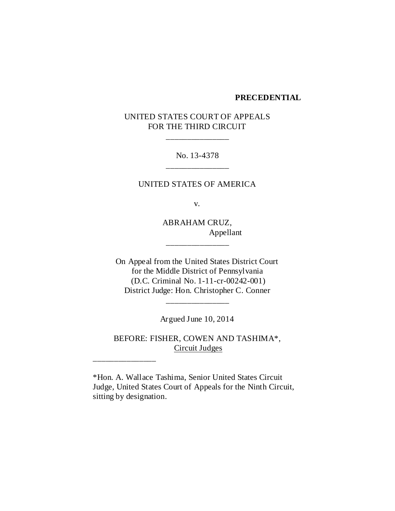#### **PRECEDENTIAL**

# UNITED STATES COURT OF APPEALS FOR THE THIRD CIRCUIT

\_\_\_\_\_\_\_\_\_\_\_\_\_\_\_

No. 13-4378 \_\_\_\_\_\_\_\_\_\_\_\_\_\_\_

UNITED STATES OF AMERICA

v.

ABRAHAM CRUZ, Appellant

\_\_\_\_\_\_\_\_\_\_\_\_\_\_\_

On Appeal from the United States District Court for the Middle District of Pennsylvania (D.C. Criminal No. 1-11-cr-00242-001) District Judge: Hon. Christopher C. Conner

Argued June 10, 2014

\_\_\_\_\_\_\_\_\_\_\_\_\_\_\_

BEFORE: FISHER, COWEN AND TASHIMA\*, Circuit Judges

\*Hon. A. Wallace Tashima, Senior United States Circuit Judge, United States Court of Appeals for the Ninth Circuit, sitting by designation.

\_\_\_\_\_\_\_\_\_\_\_\_\_\_\_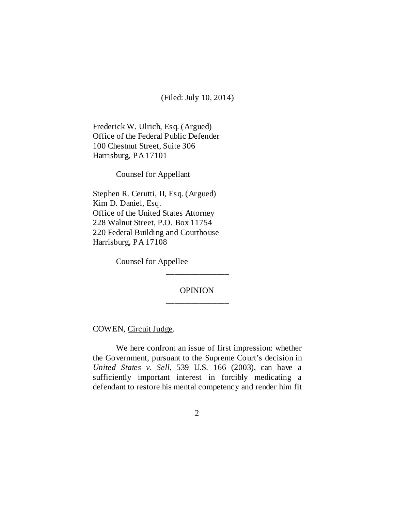(Filed: July 10, 2014)

Frederick W. Ulrich, Esq. (Argued) Office of the Federal Public Defender 100 Chestnut Street, Suite 306 Harrisburg, PA 17101

Counsel for Appellant

Stephen R. Cerutti, II, Esq. (Argued) Kim D. Daniel, Esq. Office of the United States Attorney 228 Walnut Street, P.O. Box 11754 220 Federal Building and Courthouse Harrisburg, PA 17108

Counsel for Appellee

# **OPINION** \_\_\_\_\_\_\_\_\_\_\_\_\_\_\_

\_\_\_\_\_\_\_\_\_\_\_\_\_\_\_

COWEN, Circuit Judge.

We here confront an issue of first impression: whether the Government, pursuant to the Supreme Court's decision in *United States v. Sell*, 539 U.S. 166 (2003), can have a sufficiently important interest in forcibly medicating a defendant to restore his mental competency and render him fit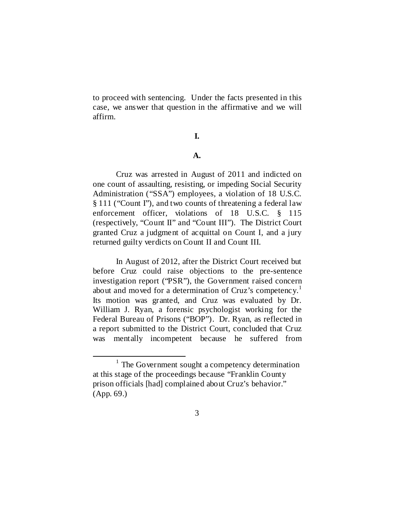to proceed with sentencing. Under the facts presented in this case, we answer that question in the affirmative and we will affirm.

## **I.**

#### **A.**

Cruz was arrested in August of 2011 and indicted on one count of assaulting, resisting, or impeding Social Security Administration ("SSA") employees, a violation of 18 U.S.C. § 111 ("Count I"), and two counts of threatening a federal law enforcement officer, violations of 18 U.S.C. § 115 (respectively, "Count II" and "Count III"). The District Court granted Cruz a judgment of acquittal on Count I, and a jury returned guilty verdicts on Count II and Count III.

In August of 2012, after the District Court received but before Cruz could raise objections to the pre-sentence investigation report ("PSR"), the Government raised concern about and moved for a determination of Cruz's competency.<sup>[1](#page-2-0)</sup> Its motion was granted, and Cruz was evaluated by Dr. William J. Ryan, a forensic psychologist working for the Federal Bureau of Prisons ("BOP"). Dr. Ryan, as reflected in a report submitted to the District Court, concluded that Cruz was mentally incompetent because he suffered from

<span id="page-2-0"></span> $1$  The Government sought a competency determination at this stage of the proceedings because "Franklin County prison officials [had] complained about Cruz's behavior." (App. 69.)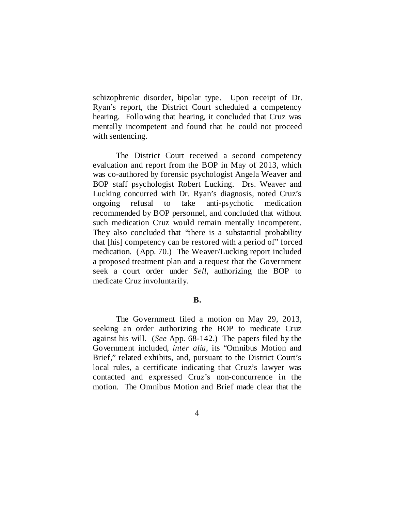schizophrenic disorder, bipolar type. Upon receipt of Dr. Ryan's report, the District Court scheduled a competency hearing. Following that hearing, it concluded that Cruz was mentally incompetent and found that he could not proceed with sentencing.

The District Court received a second competency evaluation and report from the BOP in May of 2013, which was co-authored by forensic psychologist Angela Weaver and BOP staff psychologist Robert Lucking. Drs. Weaver and Lucking concurred with Dr. Ryan's diagnosis, noted Cruz's ongoing refusal to take anti-psychotic medication recommended by BOP personnel, and concluded that without such medication Cruz would remain mentally incompetent. They also concluded that "there is a substantial probability that [his] competency can be restored with a period of" forced medication. (App. 70.) The Weaver/Lucking report included a proposed treatment plan and a request that the Government seek a court order under *Sell*, authorizing the BOP to medicate Cruz involuntarily.

## **B.**

The Government filed a motion on May 29, 2013, seeking an order authorizing the BOP to medicate Cruz against his will. (*See* App. 68-142.) The papers filed by the Government included, *inter alia*, its "Omnibus Motion and Brief," related exhibits, and, pursuant to the District Court's local rules, a certificate indicating that Cruz's lawyer was contacted and expressed Cruz's non-concurrence in the motion. The Omnibus Motion and Brief made clear that the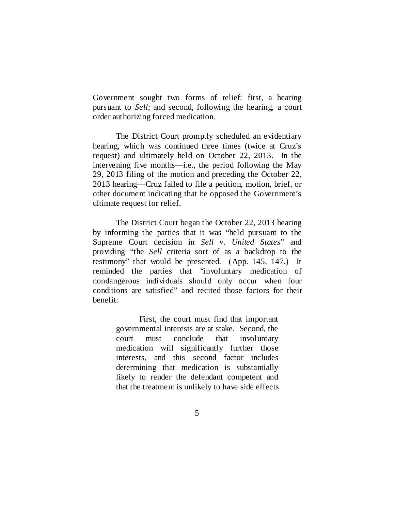Government sought two forms of relief: first, a hearing pursuant to *Sell*; and second, following the hearing, a court order authorizing forced medication.

The District Court promptly scheduled an evidentiary hearing, which was continued three times (twice at Cruz's request) and ultimately held on October 22, 2013. In the intervening five months—i.e., the period following the May 29, 2013 filing of the motion and preceding the October 22, 2013 hearing—Cruz failed to file a petition, motion, brief, or other document indicating that he opposed the Government's ultimate request for relief.

The District Court began the October 22, 2013 hearing by informing the parties that it was "held pursuant to the Supreme Court decision in *Sell v. United States*" and providing "the *Sell* criteria sort of as a backdrop to the testimony" that would be presented. (App. 145, 147.) It reminded the parties that "involuntary medication of nondangerous individuals should only occur when four conditions are satisfied" and recited those factors for their benefit:

> First, the court must find that important governmental interests are at stake. Second, the court must conclude that involuntary medication will significantly further those interests, and this second factor includes determining that medication is substantially likely to render the defendant competent and that the treatment is unlikely to have side effects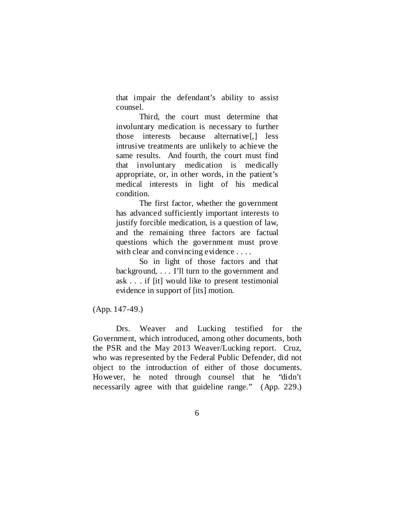that impair the defendant's ability to assist counsel.

Third, the court must determine that involuntary medication is necessary to further those interests because alternative[,] less intrusive treatments are unlikely to achieve the same results. And fourth, the court must find that involuntary medication is medically appropriate, or, in other words, in the patient's medical interests in light of his medical condition.

The first factor, whether the government has advanced sufficiently important interests to justify forcible medication, is a question of law, and the remaining three factors are factual questions which the government must prove with clear and convincing evidence . . . .

So in light of those factors and that background, . . . I'll turn to the government and ask . . . if [it] would like to present testimonial evidence in support of [its] motion.

(App. 147-49.)

Drs. Weaver and Lucking testified for the Government, which introduced, among other documents, both the PSR and the May 2013 Weaver/Lucking report. Cruz, who was represented by the Federal Public Defender, did not object to the introduction of either of those documents. However, he noted through counsel that he "didn't necessarily agree with that guideline range." (App. 229.)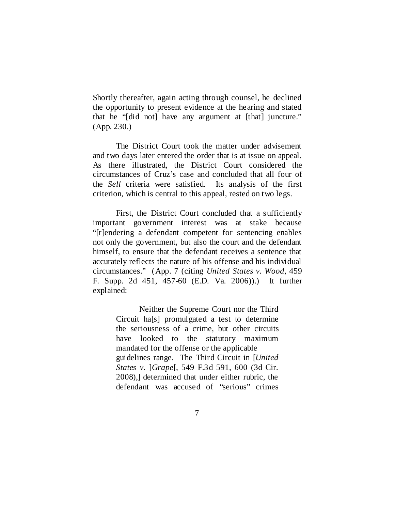Shortly thereafter, again acting through counsel, he declined the opportunity to present evidence at the hearing and stated that he "[did not] have any argument at [that] juncture." (App. 230.)

The District Court took the matter under advisement and two days later entered the order that is at issue on appeal. As there illustrated, the District Court considered the circumstances of Cruz's case and concluded that all four of the *Sell* criteria were satisfied. Its analysis of the first criterion, which is central to this appeal, rested on two legs.

First, the District Court concluded that a sufficiently important government interest was at stake because "[r]endering a defendant competent for sentencing enables not only the government, but also the court and the defendant himself, to ensure that the defendant receives a sentence that accurately reflects the nature of his offense and his individual circumstances." (App. 7 (citing *United States v. Wood*, 459 F. Supp. 2d 451, 457-60 (E.D. Va. 2006)).) It further explained:

> Neither the Supreme Court nor the Third Circuit ha[s] promulgated a test to determine the seriousness of a crime, but other circuits have looked to the statutory maximum mandated for the offense or the applicable guidelines range. The Third Circuit in [*United States v.* ]*Grape*[, 549 F.3d 591, 600 (3d Cir. 2008),] determined that under either rubric, the defendant was accused of "serious" crimes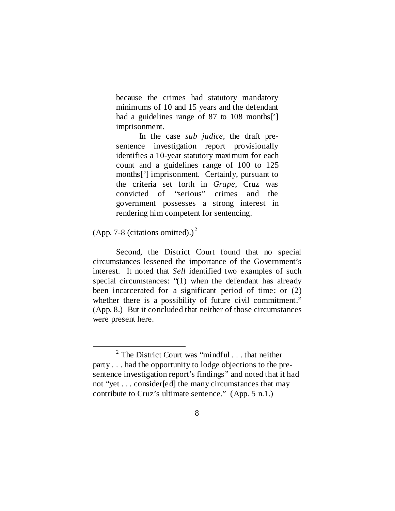because the crimes had statutory mandatory minimums of 10 and 15 years and the defendant had a guidelines range of 87 to 108 months<sup>[']</sup> imprisonment.

In the case *sub judice*, the draft presentence investigation report provisionally identifies a 10-year statutory maximum for each count and a guidelines range of 100 to 125 months['] imprisonment. Certainly, pursuant to the criteria set forth in *Grape*, Cruz was convicted of "serious" crimes and the government possesses a strong interest in rendering him competent for sentencing.

(App. 7-8 (citations omitted).)<sup>[2](#page-7-0)</sup>

Second, the District Court found that no special circumstances lessened the importance of the Government's interest. It noted that *Sell* identified two examples of such special circumstances: "(1) when the defendant has already been incarcerated for a significant period of time; or (2) whether there is a possibility of future civil commitment." (App. 8.) But it concluded that neither of those circumstances were present here.

<span id="page-7-0"></span> $2$  The District Court was "mindful . . . that neither party . . . had the opportunity to lodge objections to the presentence investigation report's findings" and noted that it had not "yet . . . consider[ed] the many circumstances that may contribute to Cruz's ultimate sentence." (App. 5 n.1.)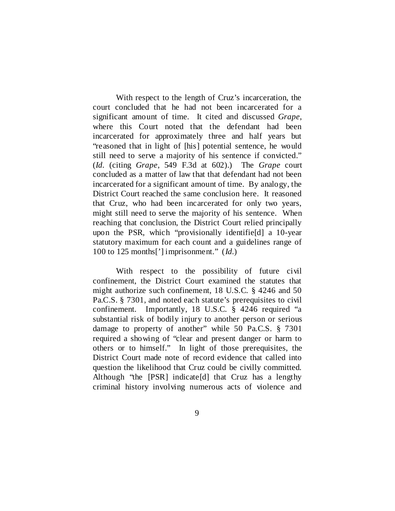With respect to the length of Cruz's incarceration, the court concluded that he had not been incarcerated for a significant amount of time. It cited and discussed *Grape*, where this Court noted that the defendant had been incarcerated for approximately three and half years but "reasoned that in light of [his] potential sentence, he would still need to serve a majority of his sentence if convicted." (*Id.* (citing *Grape*, 549 F.3d at 602).) The *Grape* court concluded as a matter of law that that defendant had not been incarcerated for a significant amount of time. By analogy, the District Court reached the same conclusion here. It reasoned that Cruz, who had been incarcerated for only two years, might still need to serve the majority of his sentence. When reaching that conclusion, the District Court relied principally upon the PSR, which "provisionally identifie[d] a 10-year statutory maximum for each count and a guidelines range of 100 to 125 months['] imprisonment." (*Id.*)

With respect to the possibility of future civil confinement, the District Court examined the statutes that might authorize such confinement, 18 U.S.C. § 4246 and 50 Pa.C.S. § 7301, and noted each statute's prerequisites to civil confinement. Importantly, 18 U.S.C. § 4246 required "a substantial risk of bodily injury to another person or serious damage to property of another" while 50 Pa.C.S. § 7301 required a showing of "clear and present danger or harm to others or to himself." In light of those prerequisites, the District Court made note of record evidence that called into question the likelihood that Cruz could be civilly committed. Although "the [PSR] indicate [d] that Cruz has a lengthy criminal history involving numerous acts of violence and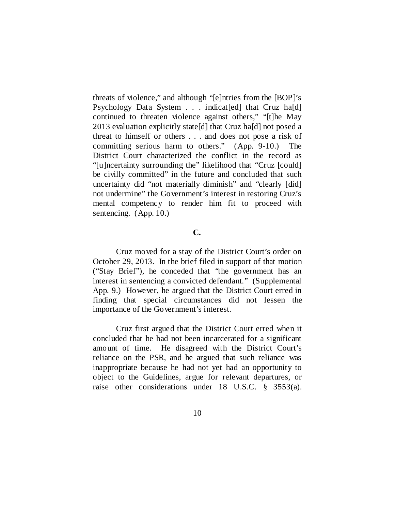threats of violence," and although "[e]ntries from the [BOP]'s Psychology Data System . . . indicat [ed] that Cruz ha[d] continued to threaten violence against others," "[t]he May 2013 evaluation explicitly state[d] that Cruz ha[d] not posed a threat to himself or others . . . and does not pose a risk of committing serious harm to others." (App. 9-10.) The District Court characterized the conflict in the record as "[u]ncertainty surrounding the" likelihood that "Cruz [could] be civilly committed" in the future and concluded that such uncertainty did "not materially diminish" and "clearly [did] not undermine" the Government's interest in restoring Cruz's mental competency to render him fit to proceed with sentencing. (App. 10.)

### **C.**

Cruz moved for a stay of the District Court's order on October 29, 2013. In the brief filed in support of that motion ("Stay Brief"), he conceded that "the government has an interest in sentencing a convicted defendant." (Supplemental App. 9.) However, he argued that the District Court erred in finding that special circumstances did not lessen the importance of the Government's interest.

Cruz first argued that the District Court erred when it concluded that he had not been incarcerated for a significant amount of time. He disagreed with the District Court's reliance on the PSR, and he argued that such reliance was inappropriate because he had not yet had an opportunity to object to the Guidelines, argue for relevant departures, or raise other considerations under 18 U.S.C. § 3553(a).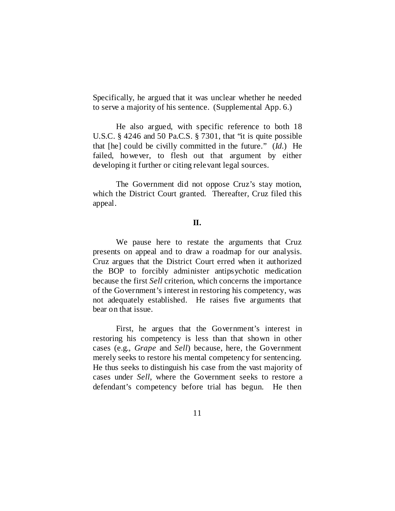Specifically, he argued that it was unclear whether he needed to serve a majority of his sentence. (Supplemental App. 6.)

He also argued, with specific reference to both 18 U.S.C. § 4246 and 50 Pa.C.S. § 7301, that "it is quite possible that [he] could be civilly committed in the future." (*Id.*) He failed, however, to flesh out that argument by either developing it further or citing relevant legal sources.

The Government did not oppose Cruz's stay motion, which the District Court granted. Thereafter, Cruz filed this appeal.

#### **II.**

We pause here to restate the arguments that Cruz presents on appeal and to draw a roadmap for our analysis. Cruz argues that the District Court erred when it authorized the BOP to forcibly administer antipsychotic medication because the first *Sell* criterion, which concerns the importance of the Government's interest in restoring his competency, was not adequately established. He raises five arguments that bear on that issue.

First, he argues that the Government's interest in restoring his competency is less than that shown in other cases (e.g., *Grape* and *Sell*) because, here, the Government merely seeks to restore his mental competency for sentencing. He thus seeks to distinguish his case from the vast majority of cases under *Sell*, where the Government seeks to restore a defendant's competency before trial has begun. He then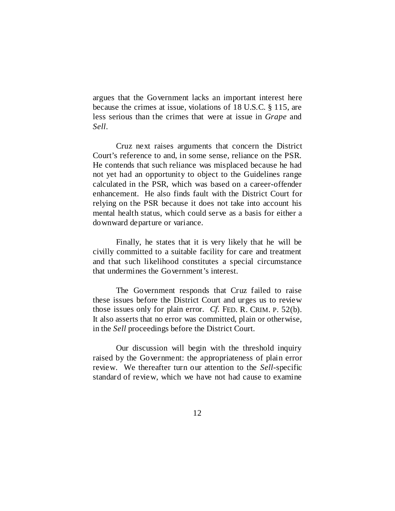argues that the Government lacks an important interest here because the crimes at issue, violations of 18 U.S.C. § 115, are less serious than the crimes that were at issue in *Grape* and *Sell*.

Cruz next raises arguments that concern the District Court's reference to and, in some sense, reliance on the PSR. He contends that such reliance was misplaced because he had not yet had an opportunity to object to the Guidelines range calculated in the PSR, which was based on a career-offender enhancement. He also finds fault with the District Court for relying on the PSR because it does not take into account his mental health status, which could serve as a basis for either a downward departure or variance.

Finally, he states that it is very likely that he will be civilly committed to a suitable facility for care and treatment and that such likelihood constitutes a special circumstance that undermines the Government's interest.

The Government responds that Cruz failed to raise these issues before the District Court and urges us to review those issues only for plain error. *Cf.* FED. R. CRIM. P. 52(b). It also asserts that no error was committed, plain or otherwise, in the *Sell* proceedings before the District Court.

Our discussion will begin with the threshold inquiry raised by the Government: the appropriateness of plain error review. We thereafter turn our attention to the *Sell*-specific standard of review, which we have not had cause to examine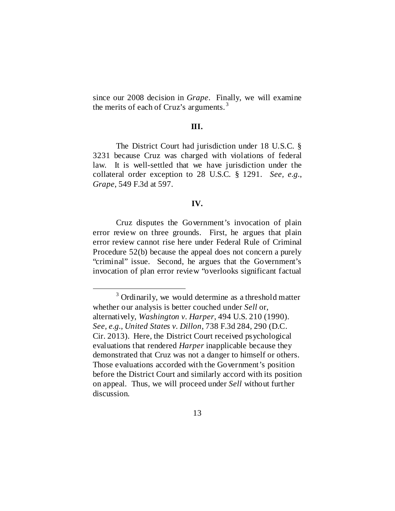since our 2008 decision in *Grape*. Finally, we will examine the merits of each of Cruz's arguments.<sup>[3](#page-12-0)</sup>

## **III.**

The District Court had jurisdiction under 18 U.S.C. § 3231 because Cruz was charged with violations of federal law. It is well-settled that we have jurisdiction under the collateral order exception to 28 U.S.C. § 1291. *See, e.g.*, *Grape*, 549 F.3d at 597.

#### **IV.**

Cruz disputes the Government's invocation of plain error review on three grounds. First, he argues that plain error review cannot rise here under Federal Rule of Criminal Procedure 52(b) because the appeal does not concern a purely "criminal" issue. Second, he argues that the Government's invocation of plan error review "overlooks significant factual

<span id="page-12-0"></span> <sup>3</sup> Ordinarily, we would determine as a threshold matter whether our analysis is better couched under *Sell* or, alternatively, *Washington v. Harper*, 494 U.S. 210 (1990). *See, e.g.*, *United States v. Dillon*, 738 F.3d 284, 290 (D.C. Cir. 2013). Here, the District Court received psychological evaluations that rendered *Harper* inapplicable because they demonstrated that Cruz was not a danger to himself or others. Those evaluations accorded with the Government's position before the District Court and similarly accord with its position on appeal. Thus, we will proceed under *Sell* without further discussion.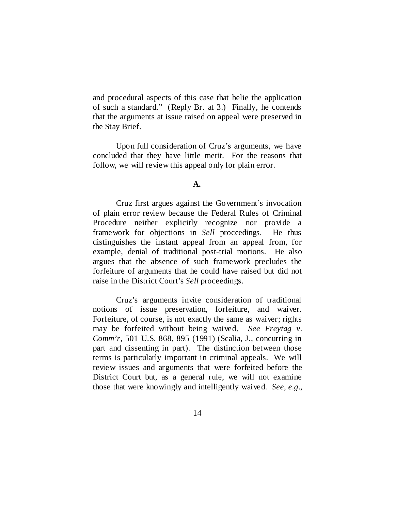and procedural aspects of this case that belie the application of such a standard." (Reply Br. at 3.) Finally, he contends that the arguments at issue raised on appeal were preserved in the Stay Brief.

Upon full consideration of Cruz's arguments, we have concluded that they have little merit. For the reasons that follow, we will review this appeal only for plain error.

#### **A.**

Cruz first argues against the Government's invocation of plain error review because the Federal Rules of Criminal Procedure neither explicitly recognize nor provide a framework for objections in *Sell* proceedings. He thus distinguishes the instant appeal from an appeal from, for example, denial of traditional post-trial motions. He also argues that the absence of such framework precludes the forfeiture of arguments that he could have raised but did not raise in the District Court's *Sell* proceedings.

Cruz's arguments invite consideration of traditional notions of issue preservation, forfeiture, and waiver. Forfeiture, of course, is not exactly the same as waiver; rights may be forfeited without being waived. *See Freytag v. Comm'r*, 501 U.S. 868, 895 (1991) (Scalia, J., concurring in part and dissenting in part). The distinction between those terms is particularly important in criminal appeals. We will review issues and arguments that were forfeited before the District Court but, as a general rule, we will not examine those that were knowingly and intelligently waived. *See, e.g.*,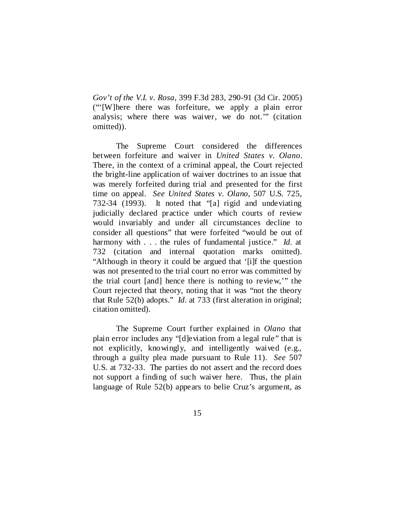*Gov't of the V.I. v. Rosa*, 399 F.3d 283, 290-91 (3d Cir. 2005) ("'[W]here there was forfeiture, we apply a plain error analysis; where there was waiver, we do not.'" (citation omitted)).

The Supreme Court considered the differences between forfeiture and waiver in *United States v. Olano*. There, in the context of a criminal appeal, the Court rejected the bright-line application of waiver doctrines to an issue that was merely forfeited during trial and presented for the first time on appeal. *See United States v. Olano*, 507 U.S. 725, 732-34 (1993). It noted that "[a] rigid and undeviating judicially declared practice under which courts of review would invariably and under all circumstances decline to consider all questions" that were forfeited "would be out of harmony with . . . the rules of fundamental justice." *Id.* at 732 (citation and internal quotation marks omitted). "Although in theory it could be argued that '[i]f the question was not presented to the trial court no error was committed by the trial court [and] hence there is nothing to review,'" the Court rejected that theory, noting that it was "not the theory that Rule 52(b) adopts." *Id.* at 733 (first alteration in original; citation omitted).

The Supreme Court further explained in *Olano* that plain error includes any "[d]eviation from a legal rule" that is not explicitly, knowingly, and intelligently waived (e.g., through a guilty plea made pursuant to Rule 11). *See* 507 U.S. at 732-33. The parties do not assert and the record does not support a finding of such waiver here. Thus, the plain language of Rule 52(b) appears to belie Cruz's argument, as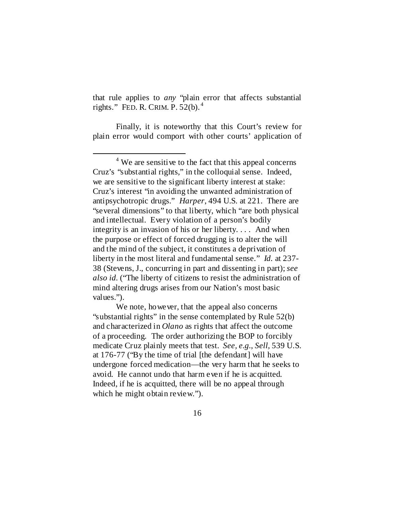that rule applies to *any* "plain error that affects substantial rights." FED. R. CRIM. P. 52(b). [4](#page-15-0)

Finally, it is noteworthy that this Court's review for plain error would comport with other courts' application of

<span id="page-15-0"></span><sup>&</sup>lt;sup>4</sup> We are sensitive to the fact that this appeal concerns Cruz's "substantial rights," in the colloquial sense. Indeed, we are sensitive to the significant liberty interest at stake: Cruz's interest "in avoiding the unwanted administration of antipsychotropic drugs." *Harper*, 494 U.S. at 221. There are "several dimensions" to that liberty, which "are both physical and intellectual. Every violation of a person's bodily integrity is an invasion of his or her liberty. . . . And when the purpose or effect of forced drugging is to alter the will and the mind of the subject, it constitutes a deprivation of liberty in the most literal and fundamental sense." *Id.* at 237- 38 (Stevens, J., concurring in part and dissenting in part); *see also id.* ("The liberty of citizens to resist the administration of mind altering drugs arises from our Nation's most basic values.").

We note, however, that the appeal also concerns "substantial rights" in the sense contemplated by Rule 52(b) and characterized in *Olano* as rights that affect the outcome of a proceeding. The order authorizing the BOP to forcibly medicate Cruz plainly meets that test. *See, e.g.*, *Sell*, 539 U.S. at 176-77 ("By the time of trial [the defendant] will have undergone forced medication—the very harm that he seeks to avoid. He cannot undo that harm even if he is acquitted. Indeed, if he is acquitted, there will be no appeal through which he might obtain review.").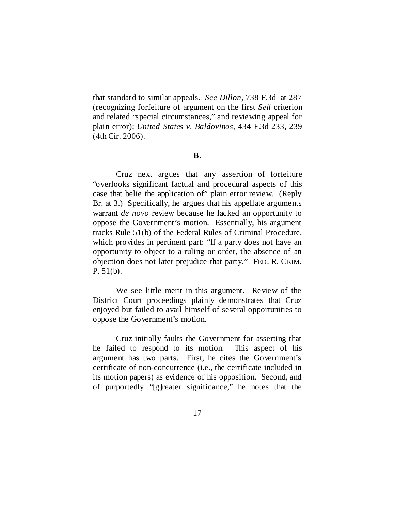that standard to similar appeals. *See Dillon*, 738 F.3d at 287 (recognizing forfeiture of argument on the first *Sell* criterion and related "special circumstances," and reviewing appeal for plain error); *United States v. Baldovinos*, 434 F.3d 233, 239 (4th Cir. 2006).

#### **B.**

Cruz next argues that any assertion of forfeiture "overlooks significant factual and procedural aspects of this case that belie the application of" plain error review. (Reply Br. at 3.) Specifically, he argues that his appellate arguments warrant *de novo* review because he lacked an opportunity to oppose the Government's motion. Essentially, his argument tracks Rule 51(b) of the Federal Rules of Criminal Procedure, which provides in pertinent part: "If a party does not have an opportunity to object to a ruling or order, the absence of an objection does not later prejudice that party." FED. R. CRIM. P. 51(b).

We see little merit in this argument. Review of the District Court proceedings plainly demonstrates that Cruz enjoyed but failed to avail himself of several opportunities to oppose the Government's motion.

Cruz initially faults the Government for asserting that he failed to respond to its motion. This aspect of his argument has two parts. First, he cites the Government's certificate of non-concurrence (i.e., the certificate included in its motion papers) as evidence of his opposition. Second, and of purportedly "[g]reater significance," he notes that the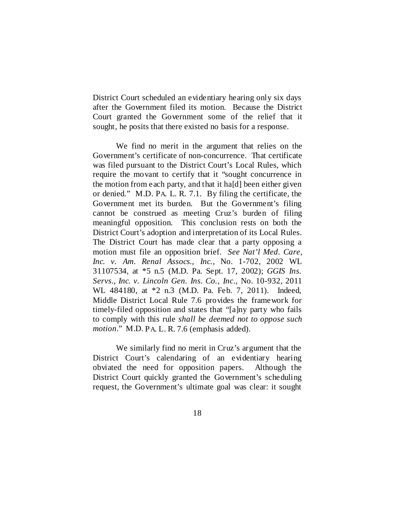District Court scheduled an evidentiary hearing only six days after the Government filed its motion. Because the District Court granted the Government some of the relief that it sought, he posits that there existed no basis for a response.

We find no merit in the argument that relies on the Government's certificate of non-concurrence. That certificate was filed pursuant to the District Court's Local Rules, which require the movant to certify that it "sought concurrence in the motion from each party, and that it ha[d] been either given or denied." M.D. PA. L. R. 7.1. By filing the certificate, the Government met its burden. But the Government's filing cannot be construed as meeting Cruz's burden of filing meaningful opposition. This conclusion rests on both the District Court's adoption and interpretation of its Local Rules. The District Court has made clear that a party opposing a motion must file an opposition brief. *See Nat'l Med. Care, Inc. v. Am. Renal Assocs., Inc.*, No. 1-702, 2002 WL 31107534, at \*5 n.5 (M.D. Pa. Sept. 17, 2002); *GGIS Ins. Servs., Inc. v. Lincoln Gen. Ins. Co., Inc.*, No. 10-932, 2011 WL 484180, at \*2 n.3 (M.D. Pa. Feb. 7, 2011). Indeed, Middle District Local Rule 7.6 provides the framework for timely-filed opposition and states that "[a]ny party who fails to comply with this rule *shall be deemed not to oppose such motion*." M.D. PA. L. R. 7.6 (emphasis added).

We similarly find no merit in Cruz's argument that the District Court's calendaring of an evidentiary hearing obviated the need for opposition papers. Although the District Court quickly granted the Government's scheduling request, the Government's ultimate goal was clear: it sought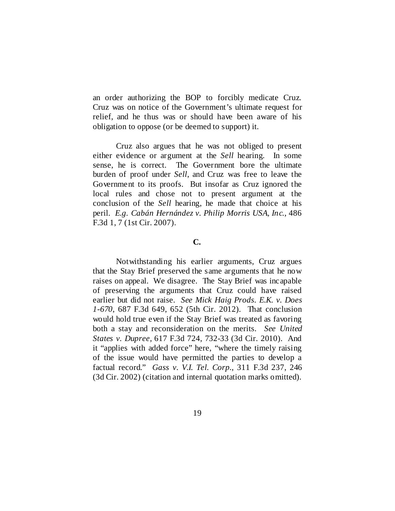an order authorizing the BOP to forcibly medicate Cruz. Cruz was on notice of the Government's ultimate request for relief, and he thus was or should have been aware of his obligation to oppose (or be deemed to support) it.

Cruz also argues that he was not obliged to present either evidence or argument at the *Sell* hearing. In some sense, he is correct. The Government bore the ultimate burden of proof under *Sell*, and Cruz was free to leave the Government to its proofs. But insofar as Cruz ignored the local rules and chose not to present argument at the conclusion of the *Sell* hearing, he made that choice at his peril. *E.g. Cabán Hernández v. Philip Morris USA, Inc.*, 486 F.3d 1, 7 (1st Cir. 2007).

## **C.**

Notwithstanding his earlier arguments, Cruz argues that the Stay Brief preserved the same arguments that he now raises on appeal. We disagree. The Stay Brief was incapable of preserving the arguments that Cruz could have raised earlier but did not raise. *See Mick Haig Prods. E.K. v. Does 1-670*, 687 F.3d 649, 652 (5th Cir. 2012). That conclusion would hold true even if the Stay Brief was treated as favoring both a stay and reconsideration on the merits. *See United States v. Dupree*, 617 F.3d 724, 732-33 (3d Cir. 2010). And it "applies with added force" here, "where the timely raising of the issue would have permitted the parties to develop a factual record." *Gass v. V.I. Tel. Corp.*, 311 F.3d 237, 246 (3d Cir. 2002) (citation and internal quotation marks omitted).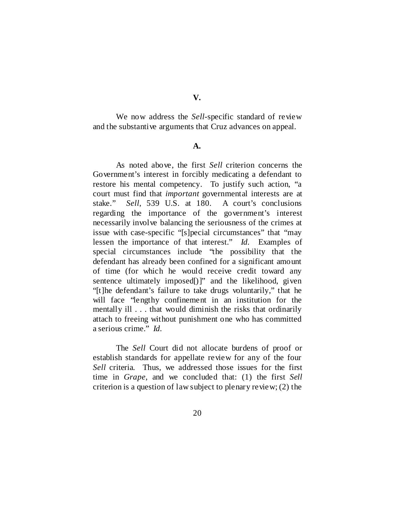We now address the *Sell*-specific standard of review and the substantive arguments that Cruz advances on appeal.

#### **A.**

As noted above, the first *Sell* criterion concerns the Government's interest in forcibly medicating a defendant to restore his mental competency. To justify such action, "a court must find that *important* governmental interests are at stake." *Sell*, 539 U.S. at 180. A court's conclusions regarding the importance of the government's interest necessarily involve balancing the seriousness of the crimes at issue with case-specific "[s]pecial circumstances" that "may lessen the importance of that interest." *Id.* Examples of special circumstances include "the possibility that the defendant has already been confined for a significant amount of time (for which he would receive credit toward any sentence ultimately imposed[)]" and the likelihood, given "[t]he defendant's failure to take drugs voluntarily," that he will face "lengthy confinement in an institution for the mentally ill . . . that would diminish the risks that ordinarily attach to freeing without punishment one who has committed a serious crime." *Id.*

The *Sell* Court did not allocate burdens of proof or establish standards for appellate review for any of the four *Sell* criteria. Thus, we addressed those issues for the first time in *Grape*, and we concluded that: (1) the first *Sell*  criterion is a question of law subject to plenary review; (2) the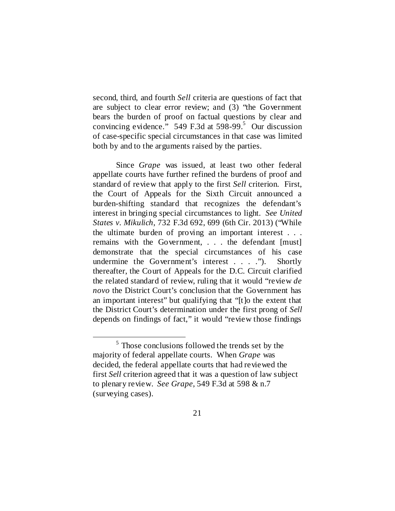second, third, and fourth *Sell* criteria are questions of fact that are subject to clear error review; and (3) "the Government bears the burden of proof on factual questions by clear and convincing evidence."  $549$  F.3d at  $598-99$ .<sup>5</sup> Our discussion of case-specific special circumstances in that case was limited both by and to the arguments raised by the parties.

Since *Grape* was issued, at least two other federal appellate courts have further refined the burdens of proof and standard of review that apply to the first *Sell* criterion. First, the Court of Appeals for the Sixth Circuit announced a burden-shifting standard that recognizes the defendant's interest in bringing special circumstances to light. *See United States v. Mikulich*, 732 F.3d 692, 699 (6th Cir. 2013) ("While the ultimate burden of proving an important interest . . . remains with the Government, . . . the defendant [must] demonstrate that the special circumstances of his case undermine the Government's interest . . . ."). Shortly thereafter, the Court of Appeals for the D.C. Circuit clarified the related standard of review, ruling that it would "review *de novo* the District Court's conclusion that the Government has an important interest" but qualifying that "[t]o the extent that the District Court's determination under the first prong of *Sell* depends on findings of fact," it would "review those findings

<span id="page-20-0"></span><sup>&</sup>lt;sup>5</sup> Those conclusions followed the trends set by the majority of federal appellate courts. When *Grape* was decided, the federal appellate courts that had reviewed the first *Sell* criterion agreed that it was a question of law subject to plenary review. *See Grape*, 549 F.3d at 598 & n.7 (surveying cases).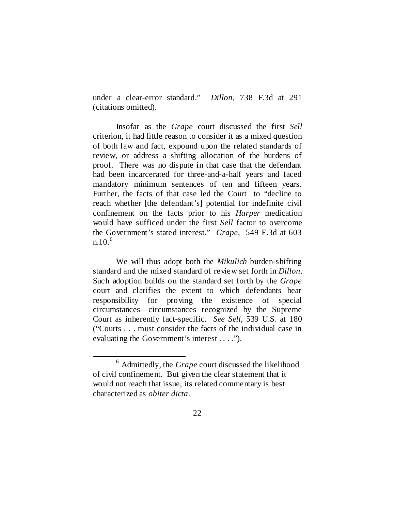under a clear-error standard." *Dillon*, 738 F.3d at 291 (citations omitted).

Insofar as the *Grape* court discussed the first *Sell* criterion, it had little reason to consider it as a mixed question of both law and fact, expound upon the related standards of review, or address a shifting allocation of the burdens of proof. There was no dispute in that case that the defendant had been incarcerated for three-and-a-half years and faced mandatory minimum sentences of ten and fifteen years. Further, the facts of that case led the Court to "decline to reach whether [the defendant's] potential for indefinite civil confinement on the facts prior to his *Harper* medication would have sufficed under the first *Sell* factor to overcome the Government's stated interest." *Grape*, 549 F.3d at 603  $n.10^{6}$  $n.10^{6}$  $n.10^{6}$ 

We will thus adopt both the *Mikulich* burden-shifting standard and the mixed standard of review set forth in *Dillon*. Such adoption builds on the standard set forth by the *Grape* court and clarifies the extent to which defendants bear responsibility for proving the existence of special circumstances—circumstances recognized by the Supreme Court as inherently fact-specific. *See Sell*, 539 U.S. at 180 ("Courts . . . must consider the facts of the individual case in evaluating the Government's interest . . . .").

<span id="page-21-0"></span> <sup>6</sup> Admittedly, the *Grape* court discussed the likelihood of civil confinement. But given the clear statement that it would not reach that issue, its related commentary is best characterized as *obiter dicta*.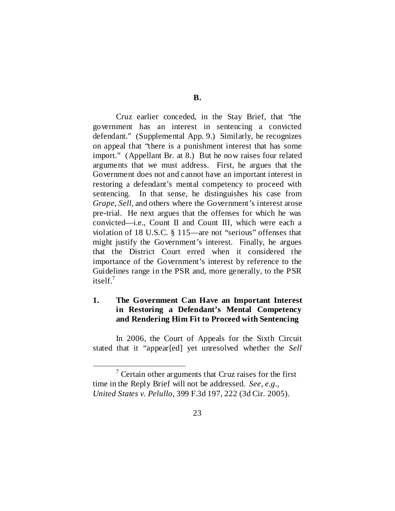Cruz earlier conceded, in the Stay Brief, that "the government has an interest in sentencing a convicted defendant." (Supplemental App. 9.) Similarly, he recognizes on appeal that "there is a punishment interest that has some import." (Appellant Br. at 8.) But he now raises four related arguments that we must address. First, he argues that the Government does not and cannot have an important interest in restoring a defendant's mental competency to proceed with sentencing. In that sense, he distinguishes his case from *Grape*, *Sell*, and others where the Government's interest arose pre-trial. He next argues that the offenses for which he was convicted—i.e., Count II and Count III, which were each a violation of 18 U.S.C. § 115—are not "serious" offenses that might justify the Government's interest. Finally, he argues that the District Court erred when it considered the importance of the Government's interest by reference to the Guidelines range in the PSR and, more generally, to the PSR itsel $f^7$ .

# **1. The Government Can Have an Important Interest in Restoring a Defendant's Mental Competency and Rendering Him Fit to Proceed with Sentencing**

In 2006, the Court of Appeals for the Sixth Circuit stated that it "appear[ed] yet unresolved whether the *Sell*

<span id="page-22-0"></span> $\frac{7}{7}$  Certain other arguments that Cruz raises for the first time in the Reply Brief will not be addressed. *See, e.g.*, *United States v. Pelullo*, 399 F.3d 197, 222 (3d Cir. 2005).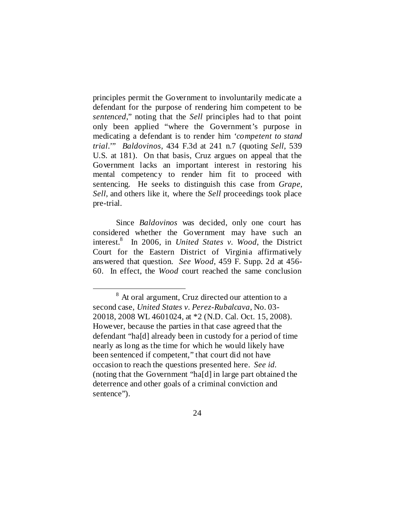principles permit the Government to involuntarily medicate a defendant for the purpose of rendering him competent to be *sentenced*," noting that the *Sell* principles had to that point only been applied "where the Government's purpose in medicating a defendant is to render him '*competent to stand trial*.'" *Baldovinos*, 434 F.3d at 241 n.7 (quoting *Sell*, 539 U.S. at 181). On that basis, Cruz argues on appeal that the Government lacks an important interest in restoring his mental competency to render him fit to proceed with sentencing. He seeks to distinguish this case from *Grape*, *Sell*, and others like it, where the *Sell* proceedings took place pre-trial.

Since *Baldovinos* was decided, only one court has considered whether the Government may have such an interest[.8](#page-23-0) In 2006, in *United States v. Wood*, the District Court for the Eastern District of Virginia affirmatively answered that question. *See Wood*, 459 F. Supp. 2d at 456- 60. In effect, the *Wood* court reached the same conclusion

<span id="page-23-0"></span> <sup>8</sup> At oral argument, Cruz directed our attention to a second case, *United States v. Perez-Rubalcava*, No. 03- 20018, 2008 WL 4601024, at \*2 (N.D. Cal. Oct. 15, 2008). However, because the parties in that case agreed that the defendant "ha[d] already been in custody for a period of time nearly as long as the time for which he would likely have been sentenced if competent," that court did not have occasion to reach the questions presented here. *See id.* (noting that the Government "ha[d] in large part obtained the deterrence and other goals of a criminal conviction and sentence").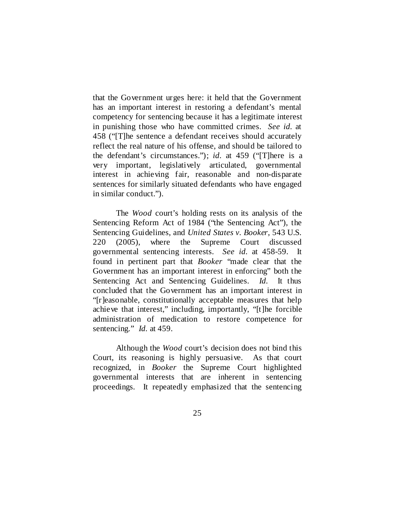that the Government urges here: it held that the Government has an important interest in restoring a defendant's mental competency for sentencing because it has a legitimate interest in punishing those who have committed crimes. *See id.* at 458 ("[T]he sentence a defendant receives should accurately reflect the real nature of his offense, and should be tailored to the defendant's circumstances."); *id.* at 459 ("[T]here is a very important, legislatively articulated, governmental interest in achieving fair, reasonable and non-disparate sentences for similarly situated defendants who have engaged in similar conduct.").

The *Wood* court's holding rests on its analysis of the Sentencing Reform Act of 1984 ("the Sentencing Act"), the Sentencing Guidelines, and *United States v. Booker*, 543 U.S. 220 (2005), where the Supreme Court discussed governmental sentencing interests. *See id.* at 458-59. It found in pertinent part that *Booker* "made clear that the Government has an important interest in enforcing" both the Sentencing Act and Sentencing Guidelines. *Id.* It thus concluded that the Government has an important interest in "[r]easonable, constitutionally acceptable measures that help achieve that interest," including, importantly, "[t]he forcible administration of medication to restore competence for sentencing." *Id.* at 459.

Although the *Wood* court's decision does not bind this Court, its reasoning is highly persuasive. As that court recognized, in *Booker* the Supreme Court highlighted governmental interests that are inherent in sentencing proceedings. It repeatedly emphasized that the sentencing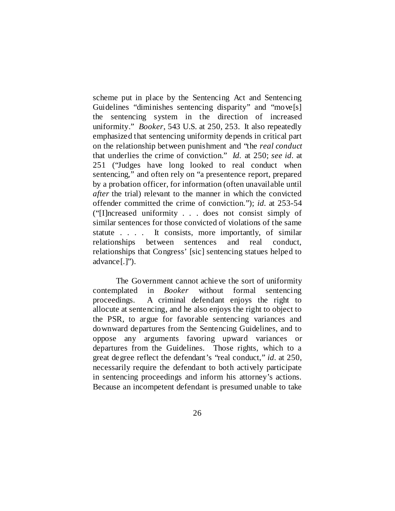scheme put in place by the Sentencing Act and Sentencing Guidelines "diminishes sentencing disparity" and "move[s] the sentencing system in the direction of increased uniformity." *Booker*, 543 U.S. at 250, 253. It also repeatedly emphasized that sentencing uniformity depends in critical part on the relationship between punishment and "the *real conduct* that underlies the crime of conviction." *Id.* at 250; *see id.* at 251 ("Judges have long looked to real conduct when sentencing," and often rely on "a presentence report, prepared by a probation officer, for information (often unavailable until *after* the trial) relevant to the manner in which the convicted offender committed the crime of conviction."); *id.* at 253-54 ("[I]ncreased uniformity . . . does not consist simply of similar sentences for those convicted of violations of the same statute . . . . It consists, more importantly, of similar relationships between sentences and real conduct, relationships that Congress' [sic] sentencing statues helped to advance[.]").

The Government cannot achieve the sort of uniformity contemplated in *Booker* without formal sentencing proceedings. A criminal defendant enjoys the right to allocute at sentencing, and he also enjoys the right to object to the PSR, to argue for favorable sentencing variances and downward departures from the Sentencing Guidelines, and to oppose any arguments favoring upward variances or departures from the Guidelines. Those rights, which to a great degree reflect the defendant's "real conduct," *id.* at 250, necessarily require the defendant to both actively participate in sentencing proceedings and inform his attorney's actions. Because an incompetent defendant is presumed unable to take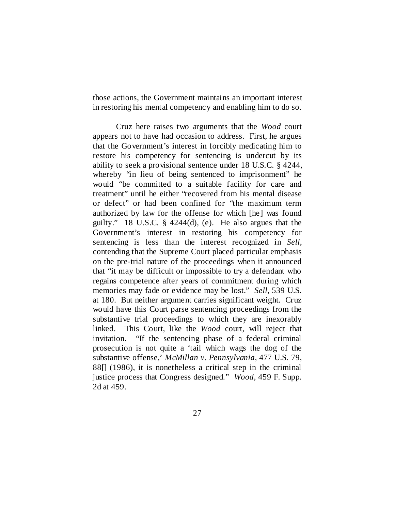those actions, the Government maintains an important interest in restoring his mental competency and enabling him to do so.

Cruz here raises two arguments that the *Wood* court appears not to have had occasion to address. First, he argues that the Government's interest in forcibly medicating him to restore his competency for sentencing is undercut by its ability to seek a provisional sentence under 18 U.S.C. § 4244, whereby "in lieu of being sentenced to imprisonment" he would "be committed to a suitable facility for care and treatment" until he either "recovered from his mental disease or defect" or had been confined for "the maximum term authorized by law for the offense for which [he] was found guilty." 18 U.S.C. § 4244(d), (e). He also argues that the Government's interest in restoring his competency for sentencing is less than the interest recognized in *Sell*, contending that the Supreme Court placed particular emphasis on the pre-trial nature of the proceedings when it announced that "it may be difficult or impossible to try a defendant who regains competence after years of commitment during which memories may fade or evidence may be lost." *Sell*, 539 U.S. at 180. But neither argument carries significant weight. Cruz would have this Court parse sentencing proceedings from the substantive trial proceedings to which they are inexorably linked. This Court, like the *Wood* court, will reject that invitation. "If the sentencing phase of a federal criminal prosecution is not quite a 'tail which wags the dog of the substantive offense,' *McMillan v. Pennsylvania*, 477 U.S. 79, 88[] (1986), it is nonetheless a critical step in the criminal justice process that Congress designed." *Wood*, 459 F. Supp. 2d at 459.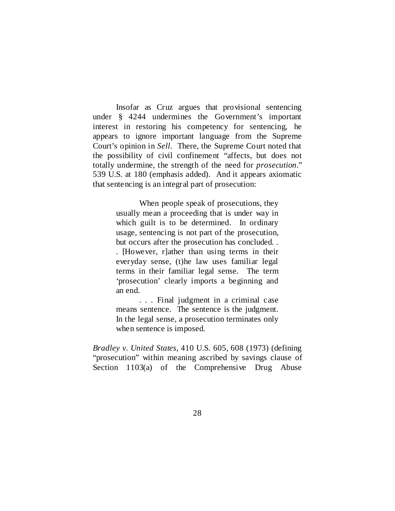Insofar as Cruz argues that provisional sentencing under § 4244 undermines the Government's important interest in restoring his competency for sentencing, he appears to ignore important language from the Supreme Court's opinion in *Sell*. There, the Supreme Court noted that the possibility of civil confinement "affects, but does not totally undermine, the strength of the need for *prosecution*." 539 U.S. at 180 (emphasis added). And it appears axiomatic that sentencing is an integral part of prosecution:

> When people speak of prosecutions, they usually mean a proceeding that is under way in which guilt is to be determined. In ordinary usage, sentencing is not part of the prosecution, but occurs after the prosecution has concluded. . . [However, r]ather than using terms in their everyday sense, (t)he law uses familiar legal terms in their familiar legal sense. The term 'prosecution' clearly imports a beginning and an end.

> . . . Final judgment in a criminal case means sentence. The sentence is the judgment. In the legal sense, a prosecution terminates only when sentence is imposed.

*Bradley v. United States*, 410 U.S. 605, 608 (1973) (defining "prosecution" within meaning ascribed by savings clause of Section 1103(a) of the Comprehensive Drug Abuse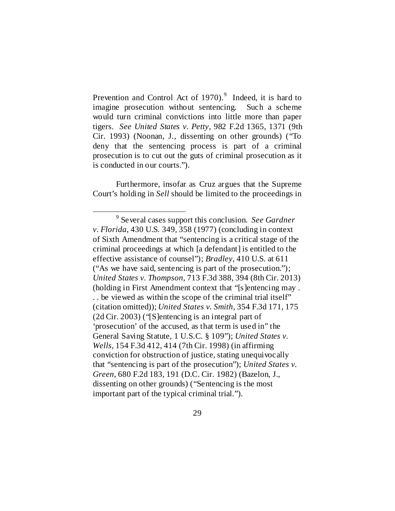Prevention and Control Act of 1[9](#page-28-0)70).<sup>9</sup> Indeed, it is hard to imagine prosecution without sentencing. Such a scheme would turn criminal convictions into little more than paper tigers. *See United States v. Petty*, 982 F.2d 1365, 1371 (9th Cir. 1993) (Noonan, J., dissenting on other grounds) ("To deny that the sentencing process is part of a criminal prosecution is to cut out the guts of criminal prosecution as it is conducted in our courts.").

Furthermore, insofar as Cruz argues that the Supreme Court's holding in *Sell* should be limited to the proceedings in

<span id="page-28-0"></span> <sup>9</sup> Several cases support this conclusion. *See Gardner v. Florida*, 430 U.S. 349, 358 (1977) (concluding in context of Sixth Amendment that "sentencing is a critical stage of the criminal proceedings at which [a defendant] is entitled to the effective assistance of counsel"); *Bradley*, 410 U.S. at 611 ("As we have said, sentencing is part of the prosecution."); *United States v. Thompson*, 713 F.3d 388, 394 (8th Cir. 2013) (holding in First Amendment context that "[s]entencing may . . . be viewed as within the scope of the criminal trial itself" (citation omitted)); *United States v. Smith*, 354 F.3d 171, 175 (2d Cir. 2003) ("[S]entencing is an integral part of 'prosecution' of the accused, as that term is used in" the General Saving Statute, 1 U.S.C. § 109"); *United States v. Wells*, 154 F.3d 412, 414 (7th Cir. 1998) (in affirming conviction for obstruction of justice, stating unequivocally that "sentencing is part of the prosecution"); *United States v. Green*, 680 F.2d 183, 191 (D.C. Cir. 1982) (Bazelon, J., dissenting on other grounds) ("Sentencing is the most important part of the typical criminal trial.").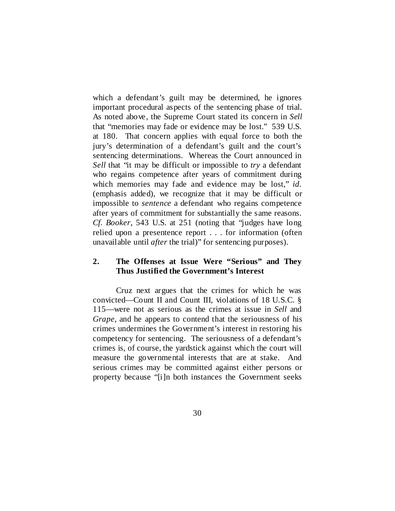which a defendant's guilt may be determined, he ignores important procedural aspects of the sentencing phase of trial. As noted above, the Supreme Court stated its concern in *Sell* that "memories may fade or evidence may be lost." 539 U.S. at 180. That concern applies with equal force to both the jury's determination of a defendant's guilt and the court's sentencing determinations. Whereas the Court announced in *Sell* that "it may be difficult or impossible to *try* a defendant who regains competence after years of commitment during which memories may fade and evidence may be lost," *id.* (emphasis added), we recognize that it may be difficult or impossible to *sentence* a defendant who regains competence after years of commitment for substantially the same reasons. *Cf. Booker*, 543 U.S. at 251 (noting that "judges have long relied upon a presentence report . . . for information (often unavailable until *after* the trial)" for sentencing purposes).

## **2. The Offenses at Issue Were "Serious" and They Thus Justified the Government's Interest**

Cruz next argues that the crimes for which he was convicted—Count II and Count III, violations of 18 U.S.C. § 115—were not as serious as the crimes at issue in *Sell* and *Grape*, and he appears to contend that the seriousness of his crimes undermines the Government's interest in restoring his competency for sentencing. The seriousness of a defendant's crimes is, of course, the yardstick against which the court will measure the governmental interests that are at stake. And serious crimes may be committed against either persons or property because "[i]n both instances the Government seeks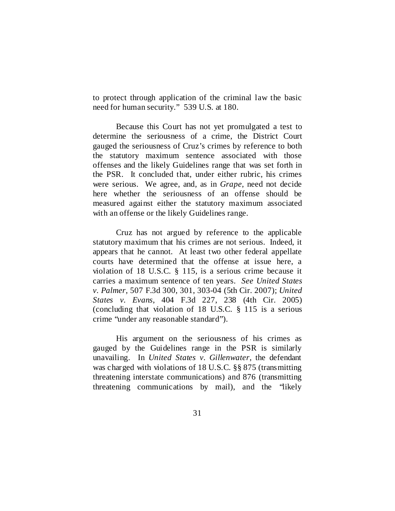to protect through application of the criminal law the basic need for human security." 539 U.S. at 180.

Because this Court has not yet promulgated a test to determine the seriousness of a crime, the District Court gauged the seriousness of Cruz's crimes by reference to both the statutory maximum sentence associated with those offenses and the likely Guidelines range that was set forth in the PSR. It concluded that, under either rubric, his crimes were serious. We agree, and, as in *Grape*, need not decide here whether the seriousness of an offense should be measured against either the statutory maximum associated with an offense or the likely Guidelines range.

Cruz has not argued by reference to the applicable statutory maximum that his crimes are not serious. Indeed, it appears that he cannot. At least two other federal appellate courts have determined that the offense at issue here, a violation of 18 U.S.C. § 115, is a serious crime because it carries a maximum sentence of ten years. *See United States v. Palmer*, 507 F.3d 300, 301, 303-04 (5th Cir. 2007); *United States v. Evans*, 404 F.3d 227, 238 (4th Cir. 2005) (concluding that violation of 18 U.S.C. § 115 is a serious crime "under any reasonable standard").

His argument on the seriousness of his crimes as gauged by the Guidelines range in the PSR is similarly unavailing. In *United States v. Gillenwater*, the defendant was charged with violations of 18 U.S.C. §§ 875 (transmitting threatening interstate communications) and 876 (transmitting threatening communications by mail), and the "likely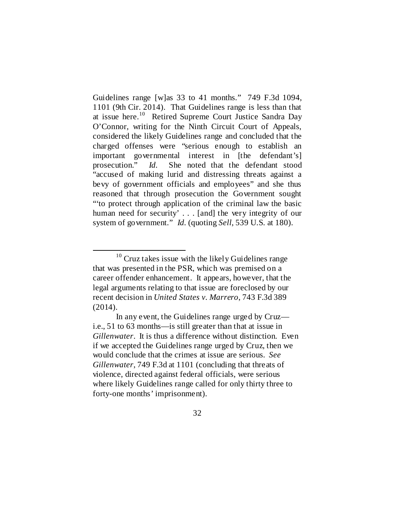Guidelines range [w]as 33 to 41 months." 749 F.3d 1094, 1101 (9th Cir. 2014). That Guidelines range is less than that at issue here.[10](#page-31-0) Retired Supreme Court Justice Sandra Day O'Connor, writing for the Ninth Circuit Court of Appeals, considered the likely Guidelines range and concluded that the charged offenses were "serious enough to establish an important governmental interest in [the defendant's] prosecution." *Id.* She noted that the defendant stood "accused of making lurid and distressing threats against a bevy of government officials and employees" and she thus reasoned that through prosecution the Government sought "'to protect through application of the criminal law the basic human need for security'... [and] the very integrity of our system of government." *Id.* (quoting *Sell*, 539 U.S. at 180).

<span id="page-31-0"></span> $10$  Cruz takes issue with the likely Guidelines range that was presented in the PSR, which was premised on a career offender enhancement. It appears, however, that the legal arguments relating to that issue are foreclosed by our recent decision in *United States v. Marrero*, 743 F.3d 389 (2014).

In any event, the Guidelines range urged by Cruz i.e., 51 to 63 months—is still greater than that at issue in *Gillenwater*. It is thus a difference without distinction. Even if we accepted the Guidelines range urged by Cruz, then we would conclude that the crimes at issue are serious. *See Gillenwater*, 749 F.3d at 1101 (concluding that threats of violence, directed against federal officials, were serious where likely Guidelines range called for only thirty three to forty-one months' imprisonment).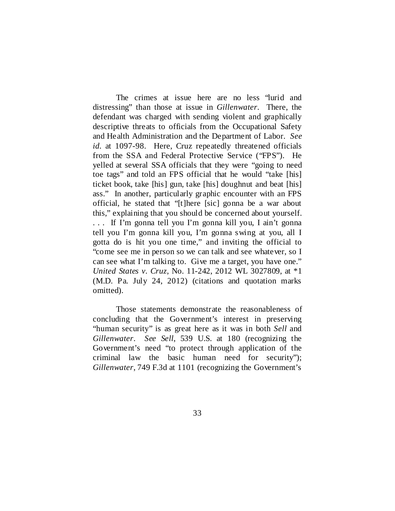The crimes at issue here are no less "lurid and distressing" than those at issue in *Gillenwater*. There, the defendant was charged with sending violent and graphically descriptive threats to officials from the Occupational Safety and Health Administration and the Department of Labor. *See id.* at 1097-98. Here, Cruz repeatedly threatened officials from the SSA and Federal Protective Service ("FPS"). He yelled at several SSA officials that they were "going to need toe tags" and told an FPS official that he would "take [his] ticket book, take [his] gun, take [his] doughnut and beat [his] ass." In another, particularly graphic encounter with an FPS official, he stated that "[t]here [sic] gonna be a war about this," explaining that you should be concerned about yourself. . . . If I'm gonna tell you I'm gonna kill you, I ain't gonna tell you I'm gonna kill you, I'm gonna swing at you, all I gotta do is hit you one time," and inviting the official to "come see me in person so we can talk and see whatever, so I can see what I'm talking to. Give me a target, you have one." *United States v. Cruz*, No. 11-242, 2012 WL 3027809, at \*1 (M.D. Pa. July 24, 2012) (citations and quotation marks omitted).

Those statements demonstrate the reasonableness of concluding that the Government's interest in preserving "human security" is as great here as it was in both *Sell* and *Gillenwater*. *See Sell*, 539 U.S. at 180 (recognizing the Government's need "to protect through application of the criminal law the basic human need for security"); *Gillenwater*, 749 F.3d at 1101 (recognizing the Government's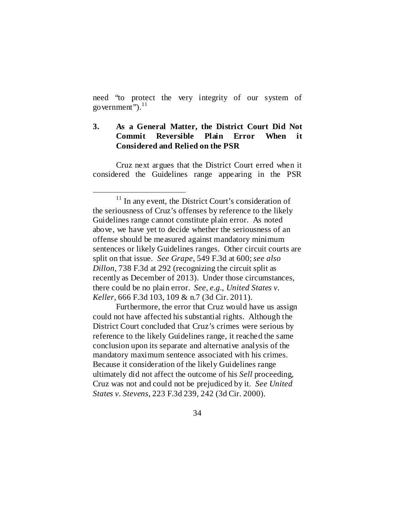need "to protect the very integrity of our system of government"). $^{11}$  $^{11}$  $^{11}$ 

# **3. As a General Matter, the District Court Did Not Commit Reversible Plain Error When it Considered and Relied on the PSR**

Cruz next argues that the District Court erred when it considered the Guidelines range appearing in the PSR

Furthermore, the error that Cruz would have us assign could not have affected his substantial rights. Although the District Court concluded that Cruz's crimes were serious by reference to the likely Guidelines range, it reached the same conclusion upon its separate and alternative analysis of the mandatory maximum sentence associated with his crimes. Because it consideration of the likely Guidelines range ultimately did not affect the outcome of his *Sell* proceeding, Cruz was not and could not be prejudiced by it. *See United States v. Stevens*, 223 F.3d 239, 242 (3d Cir. 2000).

<span id="page-33-0"></span> $11$  In any event, the District Court's consideration of the seriousness of Cruz's offenses by reference to the likely Guidelines range cannot constitute plain error. As noted above, we have yet to decide whether the seriousness of an offense should be measured against mandatory minimum sentences or likely Guidelines ranges. Other circuit courts are split on that issue. *See Grape*, 549 F.3d at 600; *see also Dillon*, 738 F.3d at 292 (recognizing the circuit split as recently as December of 2013). Under those circumstances, there could be no plain error. *See, e.g.*, *United States v. Keller*, 666 F.3d 103, 109 & n.7 (3d Cir. 2011).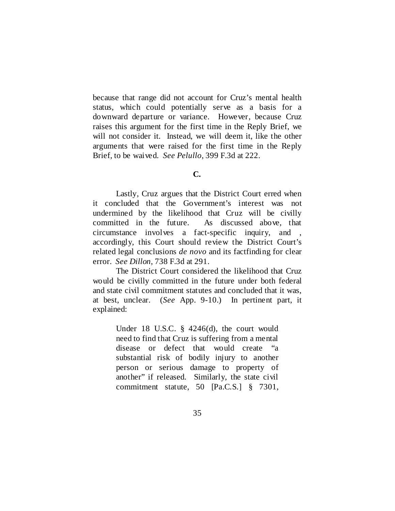because that range did not account for Cruz's mental health status, which could potentially serve as a basis for a downward departure or variance. However, because Cruz raises this argument for the first time in the Reply Brief, we will not consider it. Instead, we will deem it, like the other arguments that were raised for the first time in the Reply Brief, to be waived. *See Pelullo*, 399 F.3d at 222.

## **C.**

Lastly, Cruz argues that the District Court erred when it concluded that the Government's interest was not undermined by the likelihood that Cruz will be civilly committed in the future. As discussed above, that circumstance involves a fact-specific inquiry, and , accordingly, this Court should review the District Court's related legal conclusions *de novo* and its factfinding for clear error. *See Dillon*, 738 F.3d at 291.

The District Court considered the likelihood that Cruz would be civilly committed in the future under both federal and state civil commitment statutes and concluded that it was, at best, unclear. (*See* App. 9-10.) In pertinent part, it explained:

> Under 18 U.S.C. § 4246(d), the court would need to find that Cruz is suffering from a mental disease or defect that would create "a substantial risk of bodily injury to another person or serious damage to property of another" if released. Similarly, the state civil commitment statute, 50 [Pa.C.S.] § 7301,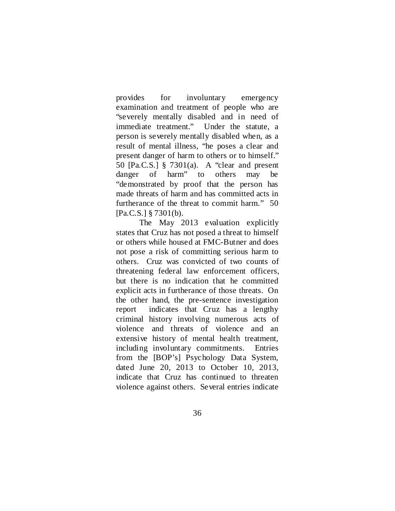provides for involuntary emergency examination and treatment of people who are "severely mentally disabled and in need of immediate treatment." Under the statute, a person is severely mentally disabled when, as a result of mental illness, "he poses a clear and present danger of harm to others or to himself." 50 [Pa.C.S.] § 7301(a). A "clear and present danger of harm" to others may be "demonstrated by proof that the person has made threats of harm and has committed acts in furtherance of the threat to commit harm." 50 [Pa.C.S.] § 7301(b).

The May 2013 evaluation explicitly states that Cruz has not posed a threat to himself or others while housed at FMC-Butner and does not pose a risk of committing serious harm to others. Cruz was convicted of two counts of threatening federal law enforcement officers, but there is no indication that he committed explicit acts in furtherance of those threats. On the other hand, the pre-sentence investigation report indicates that Cruz has a lengthy criminal history involving numerous acts of violence and threats of violence and an extensive history of mental health treatment, including involuntary commitments. Entries from the [BOP's] Psychology Data System, dated June 20, 2013 to October 10, 2013, indicate that Cruz has continued to threaten violence against others. Several entries indicate

36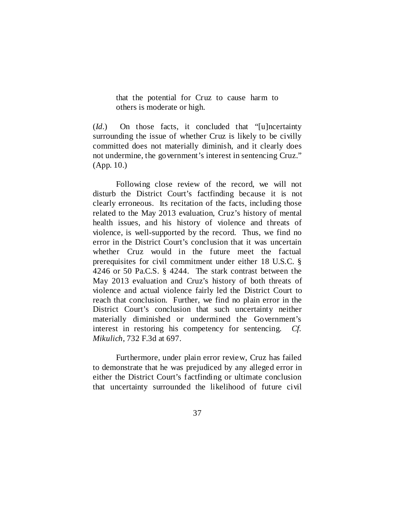that the potential for Cruz to cause harm to others is moderate or high.

(*Id.*) On those facts, it concluded that "[u]ncertainty surrounding the issue of whether Cruz is likely to be civilly committed does not materially diminish, and it clearly does not undermine, the government's interest in sentencing Cruz." (App. 10.)

Following close review of the record, we will not disturb the District Court's factfinding because it is not clearly erroneous. Its recitation of the facts, including those related to the May 2013 evaluation, Cruz's history of mental health issues, and his history of violence and threats of violence, is well-supported by the record. Thus, we find no error in the District Court's conclusion that it was uncertain whether Cruz would in the future meet the factual prerequisites for civil commitment under either 18 U.S.C. § 4246 or 50 Pa.C.S. § 4244. The stark contrast between the May 2013 evaluation and Cruz's history of both threats of violence and actual violence fairly led the District Court to reach that conclusion. Further, we find no plain error in the District Court's conclusion that such uncertainty neither materially diminished or undermined the Government's interest in restoring his competency for sentencing. *Cf. Mikulich*, 732 F.3d at 697.

Furthermore, under plain error review, Cruz has failed to demonstrate that he was prejudiced by any alleged error in either the District Court's factfinding or ultimate conclusion that uncertainty surrounded the likelihood of future civil